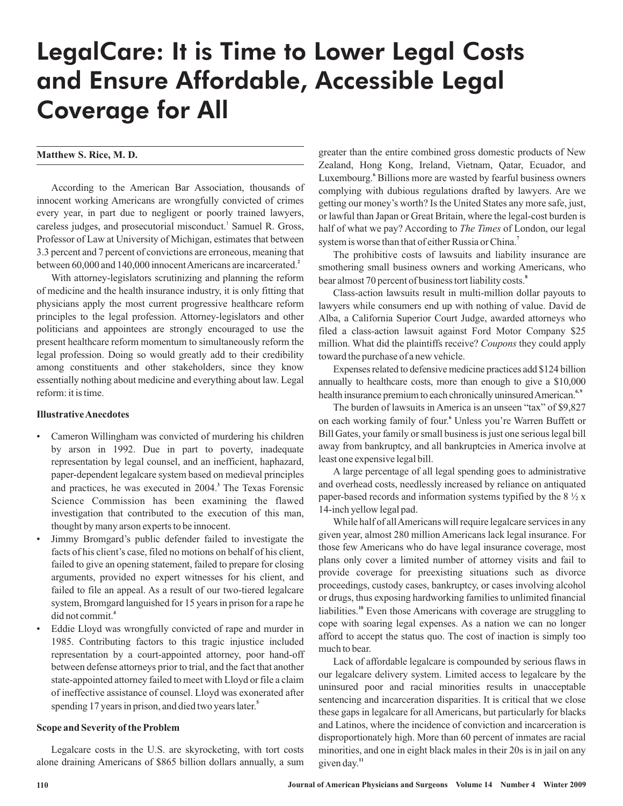# LegalCare: It is Time to Lower Legal Costs and Ensure Affordable, Accessible Legal Coverage for All

# **Matthew S. Rice, M. D.**

According to the American Bar Association, thousands of innocent working Americans are wrongfully convicted of crimes every year, in part due to negligent or poorly trained lawyers, careless judges, and prosecutorial misconduct.<sup>1</sup> Samuel R. Gross, Professor of Law at University of Michigan, estimates that between 3.3 percent and 7 percent of convictions are erroneous, meaning that between 60,000 and 140,000 innocentAmericans are incarcerated. **2**

With attorney-legislators scrutinizing and planning the reform of medicine and the health insurance industry, it is only fitting that physicians apply the most current progressive healthcare reform principles to the legal profession. Attorney-legislators and other politicians and appointees are strongly encouraged to use the present healthcare reform momentum to simultaneously reform the legal profession. Doing so would greatly add to their credibility among constituents and other stakeholders, since they know essentially nothing about medicine and everything about law. Legal reform: it is time.

## **IllustrativeAnecdotes**

- Cameron Willingham was convicted of murdering his children by arson in 1992. Due in part to poverty, inadequate representation by legal counsel, and an inefficient, haphazard, paper-dependent legalcare system based on medieval principles and practices, he was executed in 2004. The Texas Forensic **3** Science Commission has been examining the flawed investigation that contributed to the execution of this man, thought by many arson experts to be innocent.
- Jimmy Bromgard's public defender failed to investigate the facts of his client's case, filed no motions on behalf of his client, failed to give an opening statement, failed to prepare for closing arguments, provided no expert witnesses for his client, and failed to file an appeal. As a result of our two-tiered legalcare system, Bromgard languished for 15 years in prison for a rape he did not commit. **4**
- Eddie Lloyd was wrongfully convicted of rape and murder in 1985. Contributing factors to this tragic injustice included representation by a court-appointed attorney, poor hand-off between defense attorneys prior to trial, and the fact that another state-appointed attorney failed to meet with Lloyd or file a claim of ineffective assistance of counsel. Lloyd was exonerated after spending 17 years in prison, and died two years later. **5**

#### **Scope and Severity of the Problem**

Legalcare costs in the U.S. are skyrocketing, with tort costs alone draining Americans of \$865 billion dollars annually, a sum greater than the entire combined gross domestic products of New Zealand, Hong Kong, Ireland, Vietnam, Qatar, Ecuador, and Luxembourg.<sup>6</sup> Billions more are wasted by fearful business owners complying with dubious regulations drafted by lawyers. Are we getting our money's worth? Is the United States any more safe, just, or lawful than Japan or Great Britain, where the legal-cost burden is half of what we pay? According to *The Times* of London, our legal system is worse than that of either Russia or China. **7**

The prohibitive costs of lawsuits and liability insurance are smothering small business owners and working Americans, who bear almost 70 percent of business tort liability costs. **8**

Class-action lawsuits result in multi-million dollar payouts to lawyers while consumers end up with nothing of value. David de Alba, a California Superior Court Judge, awarded attorneys who filed a class-action lawsuit against Ford Motor Company \$25 million. What did the plaintiffs receive? *Coupons* they could apply toward the purchase of a new vehicle.

Expenses related to defensive medicine practices add \$124 billion annually to healthcare costs, more than enough to give a \$10,000 health insurance premium to each chronically uninsured American.<sup>6,9</sup>

The burden of lawsuits in America is an unseen "tax" of \$9,827 on each working family of four.<sup>6</sup> Unless you're Warren Buffett or Bill Gates, your family or small business is just one serious legal bill away from bankruptcy, and all bankruptcies in America involve at least one expensive legal bill.

A large percentage of all legal spending goes to administrative and overhead costs, needlessly increased by reliance on antiquated paper-based records and information systems typified by the  $8\frac{1}{2}x$ 14-inch yellow legal pad.

While half of allAmericans will require legalcare services in any given year, almost 280 million Americans lack legal insurance. For those few Americans who do have legal insurance coverage, most plans only cover a limited number of attorney visits and fail to provide coverage for preexisting situations such as divorce proceedings, custody cases, bankruptcy, or cases involving alcohol or drugs, thus exposing hardworking families to unlimited financial liabilities.<sup>10</sup> Even those Americans with coverage are struggling to cope with soaring legal expenses. As a nation we can no longer afford to accept the status quo. The cost of inaction is simply too much to bear.

Lack of affordable legalcare is compounded by serious flaws in our legalcare delivery system. Limited access to legalcare by the uninsured poor and racial minorities results in unacceptable sentencing and incarceration disparities. It is critical that we close these gaps in legalcare for all Americans, but particularly for blacks and Latinos, where the incidence of conviction and incarceration is disproportionately high. More than 60 percent of inmates are racial minorities, and one in eight black males in their 20s is in jail on any given day.<sup>11</sup>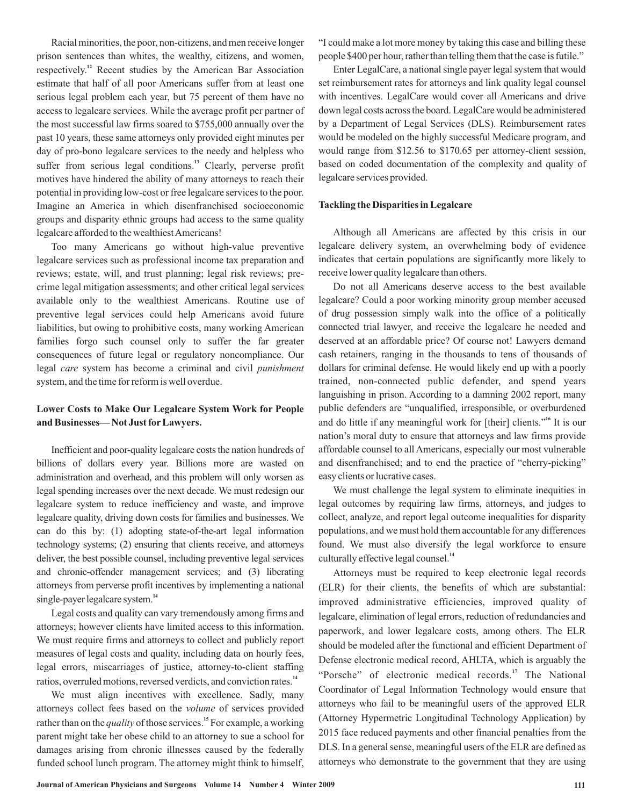Racial minorities, the poor, non-citizens, and men receive longer prison sentences than whites, the wealthy, citizens, and women, respectively.<sup>12</sup> Recent studies by the American Bar Association estimate that half of all poor Americans suffer from at least one serious legal problem each year, but 75 percent of them have no access to legalcare services. While the average profit per partner of the most successful law firms soared to \$755,000 annually over the past 10 years, these same attorneys only provided eight minutes per day of pro-bono legalcare services to the needy and helpless who suffer from serious legal conditions.<sup>13</sup> Clearly, perverse profit motives have hindered the ability of many attorneys to reach their potential in providing low-cost or free legalcare services to the poor. Imagine an America in which disenfranchised socioeconomic groups and disparity ethnic groups had access to the same quality legalcare afforded to the wealthiest Americans!

Too many Americans go without high-value preventive legalcare services such as professional income tax preparation and reviews; estate, will, and trust planning; legal risk reviews; precrime legal mitigation assessments; and other critical legal services available only to the wealthiest Americans. Routine use of preventive legal services could help Americans avoid future liabilities, but owing to prohibitive costs, many working American families forgo such counsel only to suffer the far greater consequences of future legal or regulatory noncompliance. Our legal care system has become a criminal and civil *punishment* system, and the time for reform is well overdue.

# **Lower Costs to Make Our Legalcare System Work for People and Businesses— Not Just for Lawyers.**

Inefficient and poor-quality legalcare costs the nation hundreds of billions of dollars every year. Billions more are wasted on administration and overhead, and this problem will only worsen as legal spending increases over the next decade. We must redesign our legalcare system to reduce inefficiency and waste, and improve legalcare quality, driving down costs for families and businesses. We can do this by: (1) adopting state-of-the-art legal information technology systems; (2) ensuring that clients receive, and attorneys deliver, the best possible counsel, including preventive legal services and chronic-offender management services; and (3) liberating attorneys from perverse profit incentives by implementing a national single-payer legalcare system. **14**

Legal costs and quality can vary tremendously among firms and attorneys; however clients have limited access to this information. We must require firms and attorneys to collect and publicly report measures of legal costs and quality, including data on hourly fees, legal errors, miscarriages of justice, attorney-to-client staffing ratios, overruled motions, reversed verdicts, and conviction rates. **14**

We must align incentives with excellence. Sadly, many attorneys collect fees based on the *volume* of services provided rather than on the *quality* of those services.<sup>15</sup> For example, a working parent might take her obese child to an attorney to sue a school for damages arising from chronic illnesses caused by the federally funded school lunch program. The attorney might think to himself, "I could make a lot more money by taking this case and billing these people \$400 per hour, rather than telling them that the case is futile."

Enter LegalCare, a national single payer legal system that would set reimbursement rates for attorneys and link quality legal counsel with incentives. LegalCare would cover all Americans and drive down legal costs across the board. LegalCare would be administered by a Department of Legal Services (DLS). Reimbursement rates would be modeled on the highly successful Medicare program, and would range from \$12.56 to \$170.65 per attorney-client session, based on coded documentation of the complexity and quality of legalcare services provided.

## **Tackling the Disparities in Legalcare**

Although all Americans are affected by this crisis in our legalcare delivery system, an overwhelming body of evidence indicates that certain populations are significantly more likely to receive lower quality legalcare than others.

Do not all Americans deserve access to the best available legalcare? Could a poor working minority group member accused of drug possession simply walk into the office of a politically connected trial lawyer, and receive the legalcare he needed and deserved at an affordable price? Of course not! Lawyers demand cash retainers, ranging in the thousands to tens of thousands of dollars for criminal defense. He would likely end up with a poorly trained, non-connected public defender, and spend years languishing in prison. According to a damning 2002 report, many public defenders are "unqualified, irresponsible, or overburdened and do little if any meaningful work for [their] clients."<sup>16</sup> It is our nation's moral duty to ensure that attorneys and law firms provide affordable counsel to all Americans, especially our most vulnerable and disenfranchised; and to end the practice of "cherry-picking" easy clients or lucrative cases.

We must challenge the legal system to eliminate inequities in legal outcomes by requiring law firms, attorneys, and judges to collect, analyze, and report legal outcome inequalities for disparity populations, and we must hold them accountable for any differences found. We must also diversify the legal workforce to ensure culturally effective legal counsel. **14**

Attorneys must be required to keep electronic legal records (ELR) for their clients, the benefits of which are substantial: improved administrative efficiencies, improved quality of legalcare, elimination of legal errors, reduction of redundancies and paperwork, and lower legalcare costs, among others. The ELR should be modeled after the functional and efficient Department of Defense electronic medical record, AHLTA, which is arguably the "Porsche" of electronic medical records.<sup>17</sup> The National Coordinator of Legal Information Technology would ensure that attorneys who fail to be meaningful users of the approved ELR (Attorney Hypermetric Longitudinal Technology Application) by 2015 face reduced payments and other financial penalties from the DLS. In a general sense, meaningful users of the ELR are defined as attorneys who demonstrate to the government that they are using